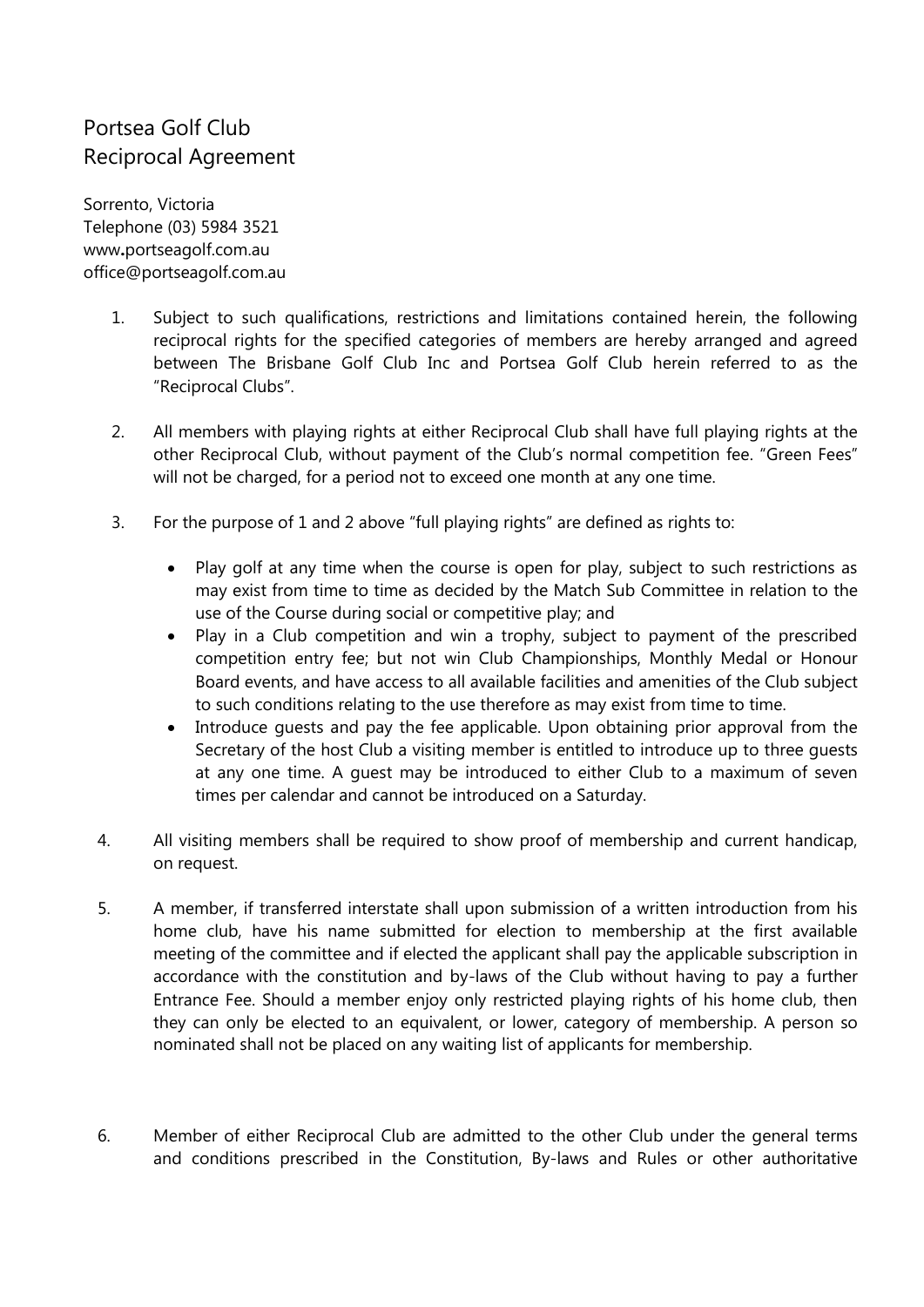## Portsea Golf Club Reciprocal Agreement

Sorrento, Victoria Telephone (03) 5984 3521 www**.**[portseagolf.com.au](http://www.portseagolf.com.au/)  office@portseagolf.com.au

- 1. Subject to such qualifications, restrictions and limitations contained herein, the following reciprocal rights for the specified categories of members are hereby arranged and agreed between The Brisbane Golf Club Inc and Portsea Golf Club herein referred to as the "Reciprocal Clubs".
- 2. All members with playing rights at either Reciprocal Club shall have full playing rights at the other Reciprocal Club, without payment of the Club's normal competition fee. "Green Fees" will not be charged, for a period not to exceed one month at any one time.
- 3. For the purpose of 1 and 2 above "full playing rights" are defined as rights to:
	- Play golf at any time when the course is open for play, subject to such restrictions as may exist from time to time as decided by the Match Sub Committee in relation to the use of the Course during social or competitive play; and
	- Play in a Club competition and win a trophy, subject to payment of the prescribed competition entry fee; but not win Club Championships, Monthly Medal or Honour Board events, and have access to all available facilities and amenities of the Club subject to such conditions relating to the use therefore as may exist from time to time.
	- Introduce guests and pay the fee applicable. Upon obtaining prior approval from the Secretary of the host Club a visiting member is entitled to introduce up to three guests at any one time. A guest may be introduced to either Club to a maximum of seven times per calendar and cannot be introduced on a Saturday.
- 4. All visiting members shall be required to show proof of membership and current handicap, on request.
- 5. A member, if transferred interstate shall upon submission of a written introduction from his home club, have his name submitted for election to membership at the first available meeting of the committee and if elected the applicant shall pay the applicable subscription in accordance with the constitution and by-laws of the Club without having to pay a further Entrance Fee. Should a member enjoy only restricted playing rights of his home club, then they can only be elected to an equivalent, or lower, category of membership. A person so nominated shall not be placed on any waiting list of applicants for membership.
- 6. Member of either Reciprocal Club are admitted to the other Club under the general terms and conditions prescribed in the Constitution, By-laws and Rules or other authoritative